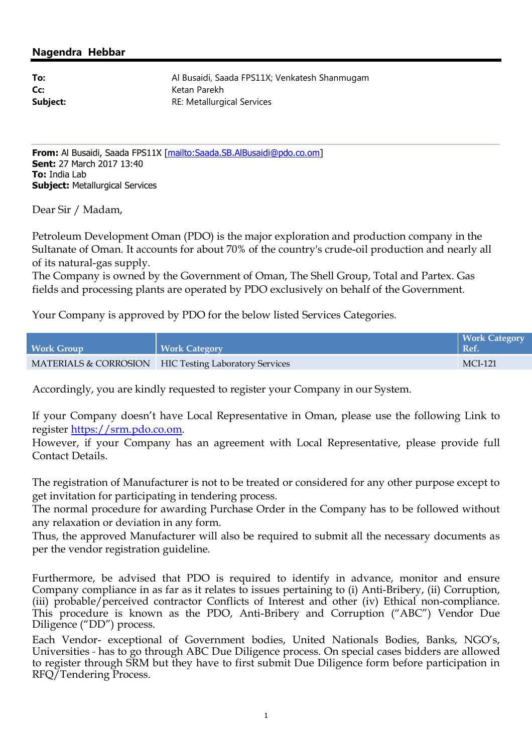## **Nagendra Hebbar**

| To:      |  |
|----------|--|
| Cc:      |  |
| Subject: |  |

**To:** Al Busaidi, Saada FPS11X; Venkatesh Shanmugam **Cc:** Ketan Parekh **RE: Metallurgical Services** 

**From:** Al Busaidi, Saada FPS11X [mailto:Saada.SB.AlBusaidi@pdo.co.om] **Sent:** 27 March 2017 13:40 **To:** India Lab **Subject:** Metallurgical Services

Dear Sir / Madam,

Petroleum Development Oman (PDO) is the major exploration and production company in the Sultanate of Oman. It accounts for about 70% of the country's crude-oil production and nearly all of its natural-gas supply.

The Company is owned by the Government of Oman, The Shell Group, Total and Partex. Gas fields and processing plants are operated by PDO exclusively on behalf of the Government.

Your Company is approved by PDO for the below listed Services Categories.

| <b>Work Group</b> | <b>Work Category</b>                                  | Work Category<br>  Ref. |
|-------------------|-------------------------------------------------------|-------------------------|
|                   | MATERIALS & CORROSION HIC Testing Laboratory Services | MCI-121                 |

Accordingly, you are kindly requested to register your Company in our System.

If your Company doesn't have Local Representative in Oman, please use the following Link to register https://srm.pdo.co.om.

However, if your Company has an agreement with Local Representative, please provide full Contact Details.

The registration of Manufacturer is not to be treated or considered for any other purpose except to get invitation for participating in tendering process.

The normal procedure for awarding Purchase Order in the Company has to be followed without any relaxation or deviation in any form.

Thus, the approved Manufacturer will also be required to submit all the necessary documents as per the vendor registration guideline.

Furthermore, be advised that PDO is required to identify in advance, monitor and ensure Company compliance in as far as it relates to issues pertaining to (i) Anti-Bribery, (ii) Corruption, (iii) probable/perceived contractor Conflicts of Interest and other (iv) Ethical non-compliance. This procedure is known as the PDO, Anti-Bribery and Corruption ("ABC") Vendor Due Diligence ("DD") process.

Each Vendor- exceptional of Government bodies, United Nationals Bodies, Banks, NGO's, Universities - has to go through ABC Due Diligence process. On special cases bidders are allowed to register through SRM but they have to first submit Due Diligence form before participation in RFQ/Tendering Process.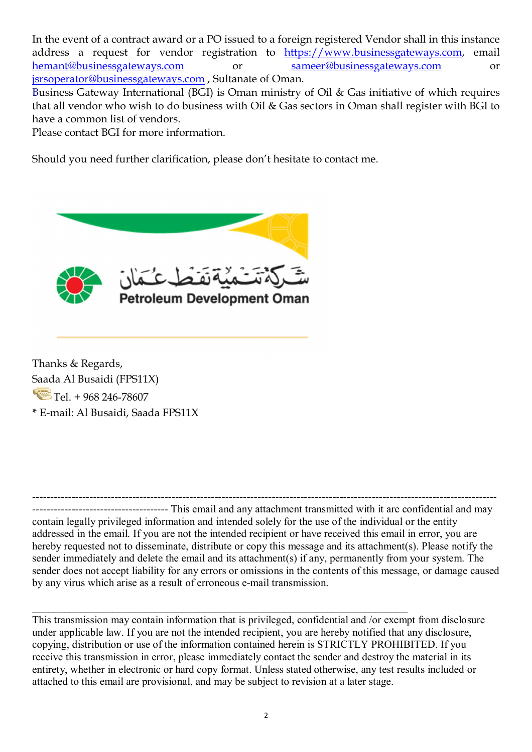In the event of a contract award or a PO issued to a foreign registered Vendor shall in this instance address a request for vendor registration to  $\frac{https://www.businessgateways.com}{sameer@businessgateways.com}$  email<br>hemant@businessgateways.com or hemant@businessgateways.com or sameer@businessgateways.com or jsrsoperator@businessgateways.com , Sultanate of Oman.

Business Gateway International (BGI) is Oman ministry of Oil & Gas initiative of which requires that all vendor who wish to do business with Oil & Gas sectors in Oman shall register with BGI to have a common list of vendors.

Please contact BGI for more information.

Should you need further clarification, please don't hesitate to contact me.



Thanks & Regards, Saada Al Busaidi (FPS11X)  $Tel. + 968246 - 78607$ **\*** E-mail: Al Busaidi, Saada FPS11X

---------------------------------------------------------------------------------------------------------------------------------- -------------------------------------- This email and any attachment transmitted with it are confidential and may contain legally privileged information and intended solely for the use of the individual or the entity addressed in the email. If you are not the intended recipient or have received this email in error, you are hereby requested not to disseminate, distribute or copy this message and its attachment(s). Please notify the sender immediately and delete the email and its attachment(s) if any, permanently from your system. The sender does not accept liability for any errors or omissions in the contents of this message, or damage caused by any virus which arise as a result of erroneous e-mail transmission.

\_\_\_\_\_\_\_\_\_\_\_\_\_\_\_\_\_\_\_\_\_\_\_\_\_\_\_\_\_\_\_\_\_\_\_\_\_\_\_\_\_\_\_\_\_\_\_\_\_\_\_\_\_\_\_\_\_\_\_\_\_\_\_\_\_\_\_\_\_\_ This transmission may contain information that is privileged, confidential and /or exempt from disclosure under applicable law. If you are not the intended recipient, you are hereby notified that any disclosure, copying, distribution or use of the information contained herein is STRICTLY PROHIBITED. If you receive this transmission in error, please immediately contact the sender and destroy the material in its entirety, whether in electronic or hard copy format. Unless stated otherwise, any test results included or attached to this email are provisional, and may be subject to revision at a later stage.